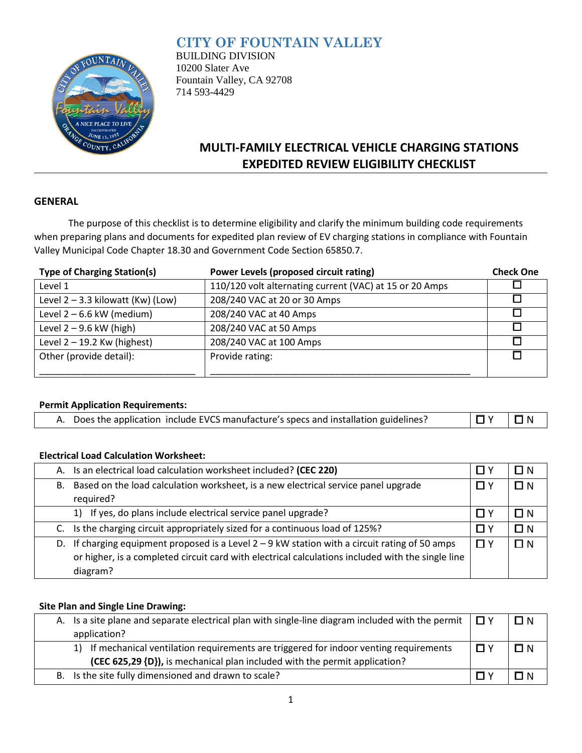## **CITY OF FOUNTAIN VALLEY**



BUILDING DIVISION 10200 Slater Ave Fountain Valley, CA 92708 714 593-4429

# **MULTI-FAMILY ELECTRICAL VEHICLE CHARGING STATIONS EXPEDITED REVIEW ELIGIBILITY CHECKLIST**

### **GENERAL**

The purpose of this checklist is to determine eligibility and clarify the minimum building code requirements when preparing plans and documents for expedited plan review of EV charging stations in compliance with Fountain Valley Municipal Code Chapter 18.30 and Government Code Section 65850.7.

| <b>Type of Charging Station(s)</b>  | Power Levels (proposed circuit rating)                  | <b>Check One</b> |
|-------------------------------------|---------------------------------------------------------|------------------|
| Level 1                             | 110/120 volt alternating current (VAC) at 15 or 20 Amps |                  |
| Level $2 - 3.3$ kilowatt (Kw) (Low) | 208/240 VAC at 20 or 30 Amps                            |                  |
| Level $2 - 6.6$ kW (medium)         | 208/240 VAC at 40 Amps                                  |                  |
| Level $2 - 9.6$ kW (high)           | 208/240 VAC at 50 Amps                                  |                  |
| Level $2 - 19.2$ Kw (highest)       | 208/240 VAC at 100 Amps                                 |                  |
| Other (provide detail):             | Provide rating:                                         |                  |
|                                     |                                                         |                  |

### **Permit Application Requirements:**

| A. Does the application include EVCS manufacture's specs and installation guidelines? | 10Y 10N |  |
|---------------------------------------------------------------------------------------|---------|--|
|---------------------------------------------------------------------------------------|---------|--|

### **Electrical Load Calculation Worksheet:**

|    | A. Is an electrical load calculation worksheet included? (CEC 220)                                                                                                                                    |     | I I N    |
|----|-------------------------------------------------------------------------------------------------------------------------------------------------------------------------------------------------------|-----|----------|
| В. | Based on the load calculation worksheet, is a new electrical service panel upgrade                                                                                                                    |     | $\Box N$ |
|    | required?                                                                                                                                                                                             |     |          |
|    | 1) If yes, do plans include electrical service panel upgrade?                                                                                                                                         | ПY  | $\Box N$ |
|    | C. Is the charging circuit appropriately sized for a continuous load of 125%?                                                                                                                         | N Y | $\Box N$ |
|    | D. If charging equipment proposed is a Level $2 - 9$ kW station with a circuit rating of 50 amps<br>or higher, is a completed circuit card with electrical calculations included with the single line |     | ПN       |
|    | diagram?                                                                                                                                                                                              |     |          |

### **Site Plan and Single Line Drawing:**

|                                                      | A. Is a site plane and separate electrical plan with single-line diagram included with the permit $\Box Y$ |          | $\Box N$ |
|------------------------------------------------------|------------------------------------------------------------------------------------------------------------|----------|----------|
|                                                      | application?                                                                                               |          |          |
|                                                      | 1) If mechanical ventilation requirements are triggered for indoor venting requirements                    | $\Box$ Y | $\Box N$ |
|                                                      | (CEC 625,29 {D}), is mechanical plan included with the permit application?                                 |          |          |
| B. Is the site fully dimensioned and drawn to scale? |                                                                                                            |          | $\Box$ N |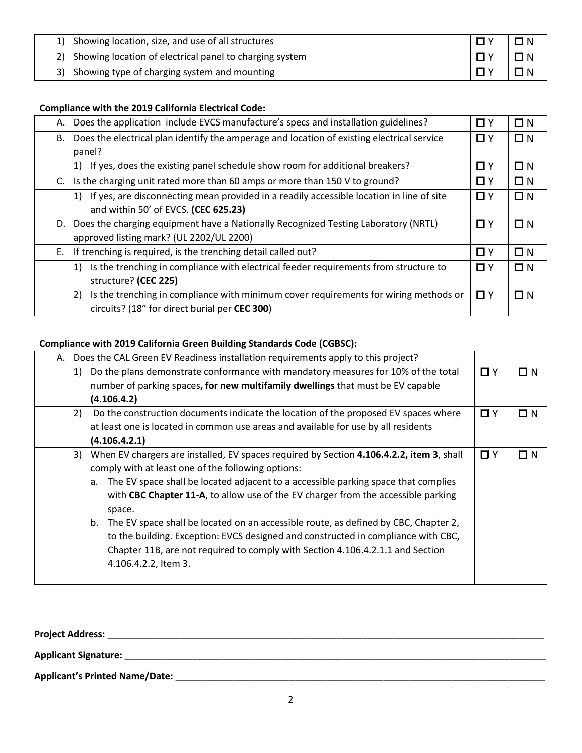| 1) Showing location, size, and use of all structures       |  |
|------------------------------------------------------------|--|
| 2) Showing location of electrical panel to charging system |  |
| 3) Showing type of charging system and mounting            |  |

### **Compliance with the 2019 California Electrical Code:**

| А. | Does the application include EVCS manufacture's specs and installation guidelines?         | $\Box$ Y | $\Box N$ |
|----|--------------------------------------------------------------------------------------------|----------|----------|
| В. | Does the electrical plan identify the amperage and location of existing electrical service | $\Box$ Y | $\Box$ N |
|    | panel?                                                                                     |          |          |
|    | If yes, does the existing panel schedule show room for additional breakers?<br>1)          | $\Box$ Y | $\Box$ N |
| C. | Is the charging unit rated more than 60 amps or more than 150 V to ground?                 | □ Y      | $\Box N$ |
|    | If yes, are disconnecting mean provided in a readily accessible location in line of site   | □ Y      | $\Box$ N |
|    | and within 50' of EVCS. (CEC 625.23)                                                       |          |          |
| D. | Does the charging equipment have a Nationally Recognized Testing Laboratory (NRTL)         | $\Box$ Y | $\Box$ N |
|    | approved listing mark? (UL 2202/UL 2200)                                                   |          |          |
| Е. | If trenching is required, is the trenching detail called out?                              | $\Box$ Y | $\Box N$ |
|    | Is the trenching in compliance with electrical feeder requirements from structure to<br>1) | $\Box$ Y | $\Box N$ |
|    | structure? (CEC 225)                                                                       |          |          |
|    | Is the trenching in compliance with minimum cover requirements for wiring methods or<br>2) | $\Box$ Y | $\Box N$ |
|    | circuits? (18" for direct burial per CEC 300)                                              |          |          |

### **Compliance with 2019 California Green Building Standards Code (CGBSC):**

|                                                                                          | A. Does the CAL Green EV Readiness installation requirements apply to this project?         |          |          |
|------------------------------------------------------------------------------------------|---------------------------------------------------------------------------------------------|----------|----------|
| 1)                                                                                       | Do the plans demonstrate conformance with mandatory measures for 10% of the total           | $\Box$ Y | $\Box N$ |
| number of parking spaces, for new multifamily dwellings that must be EV capable          |                                                                                             |          |          |
|                                                                                          | (4.106.4.2)                                                                                 |          |          |
| 2)                                                                                       | Do the construction documents indicate the location of the proposed EV spaces where         | $\Box$ Y | $\Box N$ |
|                                                                                          | at least one is located in common use areas and available for use by all residents          |          |          |
|                                                                                          | (4.106.4.2.1)                                                                               |          |          |
|                                                                                          | 3) When EV chargers are installed, EV spaces required by Section 4.106.4.2.2, item 3, shall | $\Box$ Y | $\Box N$ |
| comply with at least one of the following options:                                       |                                                                                             |          |          |
| The EV space shall be located adjacent to a accessible parking space that complies<br>а. |                                                                                             |          |          |
|                                                                                          | with CBC Chapter 11-A, to allow use of the EV charger from the accessible parking           |          |          |
|                                                                                          | space.                                                                                      |          |          |
|                                                                                          | The EV space shall be located on an accessible route, as defined by CBC, Chapter 2,<br>b.   |          |          |
|                                                                                          | to the building. Exception: EVCS designed and constructed in compliance with CBC,           |          |          |
|                                                                                          | Chapter 11B, are not required to comply with Section 4.106.4.2.1.1 and Section              |          |          |
|                                                                                          | 4.106.4.2.2, Item 3.                                                                        |          |          |
|                                                                                          |                                                                                             |          |          |

| <b>Project Address:</b>        |  |
|--------------------------------|--|
| <b>Applicant Signature:</b>    |  |
| Applicant's Printed Name/Date: |  |